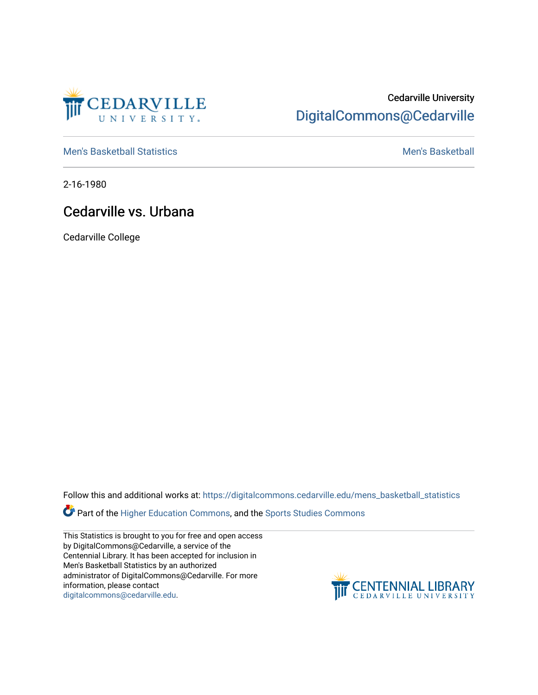

## Cedarville University [DigitalCommons@Cedarville](https://digitalcommons.cedarville.edu/)

[Men's Basketball Statistics](https://digitalcommons.cedarville.edu/mens_basketball_statistics) [Men's Basketball](https://digitalcommons.cedarville.edu/mens_basketball) 

2-16-1980

## Cedarville vs. Urbana

Cedarville College

Follow this and additional works at: [https://digitalcommons.cedarville.edu/mens\\_basketball\\_statistics](https://digitalcommons.cedarville.edu/mens_basketball_statistics?utm_source=digitalcommons.cedarville.edu%2Fmens_basketball_statistics%2F328&utm_medium=PDF&utm_campaign=PDFCoverPages) 

Part of the [Higher Education Commons,](http://network.bepress.com/hgg/discipline/1245?utm_source=digitalcommons.cedarville.edu%2Fmens_basketball_statistics%2F328&utm_medium=PDF&utm_campaign=PDFCoverPages) and the Sports Studies Commons

This Statistics is brought to you for free and open access by DigitalCommons@Cedarville, a service of the Centennial Library. It has been accepted for inclusion in Men's Basketball Statistics by an authorized administrator of DigitalCommons@Cedarville. For more information, please contact [digitalcommons@cedarville.edu](mailto:digitalcommons@cedarville.edu).